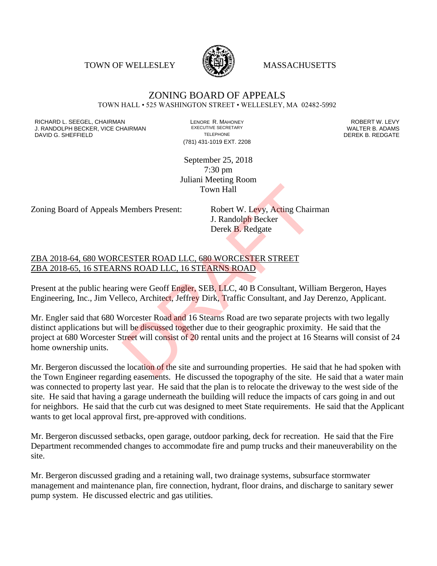TOWN OF WELLESLEY **WASSACHUSETTS** 



## ZONING BOARD OF APPEALS TOWN HALL • 525 WASHINGTON STREET • WELLESLEY, MA 02482-5992

RICHARD L. SEEGEL, CHAIRMAN LENORE R. MAHONEY ROBERT W. LEVY J. RANDOLPH BECKER, VICE CHAIRMAN EXECUTIVE SECRETARY OF SECRETARY OF SECRETARY OF SECRETARY OF SECRETARY OF S<br>DAVID G. SHEEFIELD DAVID G. SHEFFIELD **TELEPHONE** TELEPHONE TELEPHONE **TELEPHONE DEREK B. REDGATE** 

(781) 431-1019 EXT. 2208

September 25, 2018 7:30 pm Juliani Meeting Room Town Hall

Zoning Board of Appeals Members Present: Robert W. Levy, Acting Chairman

J. Randolph Becker Derek B. Redgate

## ZBA 2018-64, 680 WORCESTER ROAD LLC, 680 WORCESTER STREET ZBA 2018-65, 16 STEARNS ROAD LLC, 16 STEARNS ROAD

Present at the public hearing were Geoff Engler, SEB, LLC, 40 B Consultant, William Bergeron, Hayes Engineering, Inc., Jim Velleco, Architect, Jeffrey Dirk, Traffic Consultant, and Jay Derenzo, Applicant.

Mr. Engler said that 680 Worcester Road and 16 Stearns Road are two separate projects with two legally distinct applications but will be discussed together due to their geographic proximity. He said that the project at 680 Worcester Street will consist of 20 rental units and the project at 16 Stearns will consist of 24 home ownership units. Town Hall<br>Members Present: Robert W. Levy, Acting Chair<br>J. Randolph Becker<br>Derek B. Redgate<br>Derek B. Redgate<br>Derek B. Redgate<br>Derek B. Redgate<br>NESTER ROAD LLC, 680 WORCESTER STREET<br>NS ROAD LLC, 16 STEARNS ROAD<br>Dag were Geo

Mr. Bergeron discussed the location of the site and surrounding properties. He said that he had spoken with the Town Engineer regarding easements. He discussed the topography of the site. He said that a water main was connected to property last year. He said that the plan is to relocate the driveway to the west side of the site. He said that having a garage underneath the building will reduce the impacts of cars going in and out for neighbors. He said that the curb cut was designed to meet State requirements. He said that the Applicant wants to get local approval first, pre-approved with conditions.

Mr. Bergeron discussed setbacks, open garage, outdoor parking, deck for recreation. He said that the Fire Department recommended changes to accommodate fire and pump trucks and their maneuverability on the site.

Mr. Bergeron discussed grading and a retaining wall, two drainage systems, subsurface stormwater management and maintenance plan, fire connection, hydrant, floor drains, and discharge to sanitary sewer pump system. He discussed electric and gas utilities.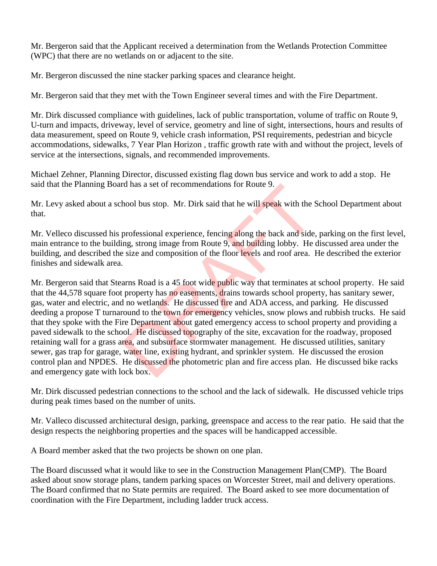Mr. Bergeron said that the Applicant received a determination from the Wetlands Protection Committee (WPC) that there are no wetlands on or adjacent to the site.

Mr. Bergeron discussed the nine stacker parking spaces and clearance height.

Mr. Bergeron said that they met with the Town Engineer several times and with the Fire Department.

Mr. Dirk discussed compliance with guidelines, lack of public transportation, volume of traffic on Route 9, U-turn and impacts, driveway, level of service, geometry and line of sight, intersections, hours and results of data measurement, speed on Route 9, vehicle crash information, PSI requirements, pedestrian and bicycle accommodations, sidewalks, 7 Year Plan Horizon , traffic growth rate with and without the project, levels of service at the intersections, signals, and recommended improvements.

Michael Zehner, Planning Director, discussed existing flag down bus service and work to add a stop. He said that the Planning Board has a set of recommendations for Route 9.

Mr. Levy asked about a school bus stop. Mr. Dirk said that he will speak with the School Department about that.

Mr. Velleco discussed his professional experience, fencing along the back and side, parking on the first level, main entrance to the building, strong image from Route 9, and building lobby. He discussed area under the building, and described the size and composition of the floor levels and roof area. He described the exterior finishes and sidewalk area.

Mr. Bergeron said that Stearns Road is a 45 foot wide public way that terminates at school property. He said that the 44,578 square foot property has no easements, drains towards school property, has sanitary sewer, gas, water and electric, and no wetlands. He discussed fire and ADA access, and parking. He discussed deeding a propose T turnaround to the town for emergency vehicles, snow plows and rubbish trucks. He said that they spoke with the Fire Department about gated emergency access to school property and providing a paved sidewalk to the school. He discussed topography of the site, excavation for the roadway, proposed retaining wall for a grass area, and subsurface stormwater management. He discussed utilities, sanitary sewer, gas trap for garage, water line, existing hydrant, and sprinkler system. He discussed the erosion control plan and NPDES. He discussed the photometric plan and fire access plan. He discussed bike racks and emergency gate with lock box. rd has a set of recommendations for Koute 9.<br>
hool bus stop. Mr. Dirk said that he will speak with the S<br>
professional experience, fencing along the back and side<br>
ing, strong image from Route 9, and building lobby. He<br>
is

Mr. Dirk discussed pedestrian connections to the school and the lack of sidewalk. He discussed vehicle trips during peak times based on the number of units.

Mr. Valleco discussed architectural design, parking, greenspace and access to the rear patio. He said that the design respects the neighboring properties and the spaces will be handicapped accessible.

A Board member asked that the two projects be shown on one plan.

The Board discussed what it would like to see in the Construction Management Plan(CMP). The Board asked about snow storage plans, tandem parking spaces on Worcester Street, mail and delivery operations. The Board confirmed that no State permits are required. The Board asked to see more documentation of coordination with the Fire Department, including ladder truck access.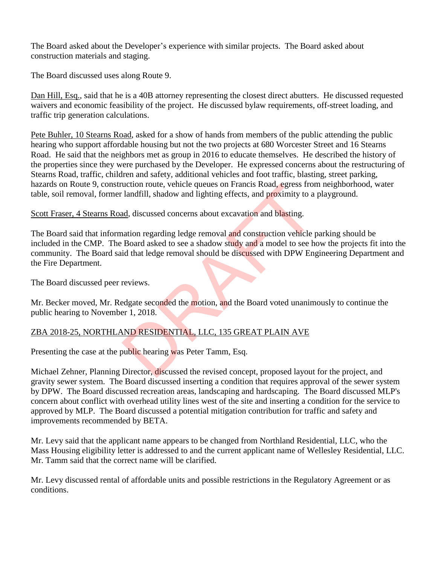The Board asked about the Developer's experience with similar projects. The Board asked about construction materials and staging.

The Board discussed uses along Route 9.

Dan Hill, Esq., said that he is a 40B attorney representing the closest direct abutters. He discussed requested waivers and economic feasibility of the project. He discussed bylaw requirements, off-street loading, and traffic trip generation calculations.

Pete Buhler, 10 Stearns Road, asked for a show of hands from members of the public attending the public hearing who support affordable housing but not the two projects at 680 Worcester Street and 16 Stearns Road. He said that the neighbors met as group in 2016 to educate themselves. He described the history of the properties since they were purchased by the Developer. He expressed concerns about the restructuring of Stearns Road, traffic, children and safety, additional vehicles and foot traffic, blasting, street parking, hazards on Route 9, construction route, vehicle queues on Francis Road, egress from neighborhood, water table, soil removal, former landfill, shadow and lighting effects, and proximity to a playground.

Scott Fraser, 4 Stearns Road, discussed concerns about excavation and blasting.

The Board said that information regarding ledge removal and construction vehicle parking should be included in the CMP. The Board asked to see a shadow study and a model to see how the projects fit into the community. The Board said that ledge removal should be discussed with DPW Engineering Department and the Fire Department. uction route, venicle queues on Francis Road, egress from<br>landfill, shadow and lighting effects, and proximity to a<br><u>ad</u>, discussed concerns about excavation and blasting.<br>aation regarding ledge removal and construction ve

The Board discussed peer reviews.

Mr. Becker moved, Mr. Redgate seconded the motion, and the Board voted unanimously to continue the public hearing to November 1, 2018.

## ZBA 2018-25, NORTHLAND RESIDENTIAL, LLC, 135 GREAT PLAIN AVE

Presenting the case at the public hearing was Peter Tamm, Esq.

Michael Zehner, Planning Director, discussed the revised concept, proposed layout for the project, and gravity sewer system. The Board discussed inserting a condition that requires approval of the sewer system by DPW. The Board discussed recreation areas, landscaping and hardscaping. The Board discussed MLP's concern about conflict with overhead utility lines west of the site and inserting a condition for the service to approved by MLP. The Board discussed a potential mitigation contribution for traffic and safety and improvements recommended by BETA.

Mr. Levy said that the applicant name appears to be changed from Northland Residential, LLC, who the Mass Housing eligibility letter is addressed to and the current applicant name of Wellesley Residential, LLC. Mr. Tamm said that the correct name will be clarified.

Mr. Levy discussed rental of affordable units and possible restrictions in the Regulatory Agreement or as conditions.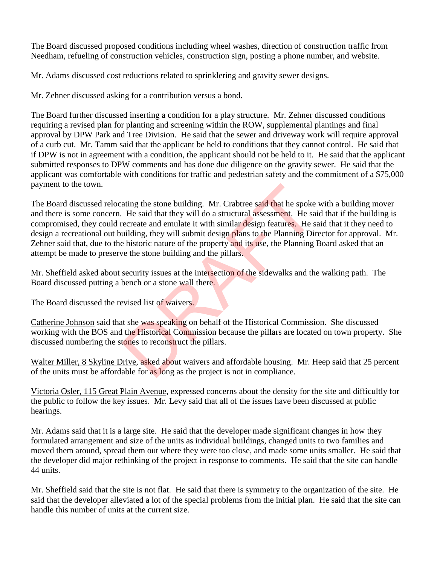The Board discussed proposed conditions including wheel washes, direction of construction traffic from Needham, refueling of construction vehicles, construction sign, posting a phone number, and website.

Mr. Adams discussed cost reductions related to sprinklering and gravity sewer designs.

Mr. Zehner discussed asking for a contribution versus a bond.

The Board further discussed inserting a condition for a play structure. Mr. Zehner discussed conditions requiring a revised plan for planting and screening within the ROW, supplemental plantings and final approval by DPW Park and Tree Division. He said that the sewer and driveway work will require approval of a curb cut. Mr. Tamm said that the applicant be held to conditions that they cannot control. He said that if DPW is not in agreement with a condition, the applicant should not be held to it. He said that the applicant submitted responses to DPW comments and has done due diligence on the gravity sewer. He said that the applicant was comfortable with conditions for traffic and pedestrian safety and the commitment of a \$75,000 payment to the town.

The Board discussed relocating the stone building. Mr. Crabtree said that he spoke with a building mover and there is some concern. He said that they will do a structural assessment. He said that if the building is compromised, they could recreate and emulate it with similar design features. He said that it they need to design a recreational out building, they will submit design plans to the Planning Director for approval. Mr. Zehner said that, due to the historic nature of the property and its use, the Planning Board asked that an attempt be made to preserve the stone building and the pillars. ating the stone building. Mr. Crabtree said that he spoke<br>He said that they will do a structural assessment. He sa<br>ecreate and emulate it with similar design features. He s<br>uilding, they will submit design plans to the Pla

Mr. Sheffield asked about security issues at the intersection of the sidewalks and the walking path. The Board discussed putting a bench or a stone wall there.

The Board discussed the revised list of waivers.

Catherine Johnson said that she was speaking on behalf of the Historical Commission. She discussed working with the BOS and the Historical Commission because the pillars are located on town property. She discussed numbering the stones to reconstruct the pillars.

Walter Miller, 8 Skyline Drive, asked about waivers and affordable housing. Mr. Heep said that 25 percent of the units must be affordable for as long as the project is not in compliance.

Victoria Osler, 115 Great Plain Avenue, expressed concerns about the density for the site and difficultly for the public to follow the key issues. Mr. Levy said that all of the issues have been discussed at public hearings.

Mr. Adams said that it is a large site. He said that the developer made significant changes in how they formulated arrangement and size of the units as individual buildings, changed units to two families and moved them around, spread them out where they were too close, and made some units smaller. He said that the developer did major rethinking of the project in response to comments. He said that the site can handle 44 units.

Mr. Sheffield said that the site is not flat. He said that there is symmetry to the organization of the site. He said that the developer alleviated a lot of the special problems from the initial plan. He said that the site can handle this number of units at the current size.